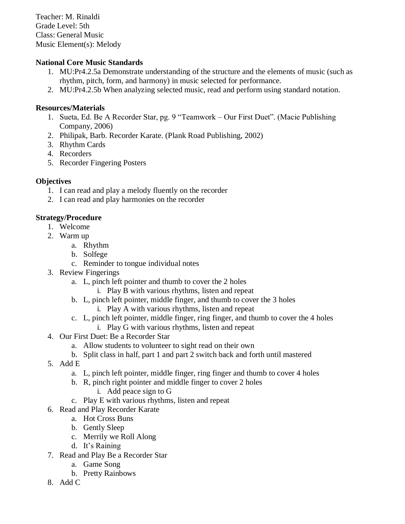Teacher: M. Rinaldi Grade Level: 5th Class: General Music Music Element(s): Melody

## **National Core Music Standards**

- 1. MU:Pr4.2.5a Demonstrate understanding of the structure and the elements of music (such as rhythm, pitch, form, and harmony) in music selected for performance.
- 2. MU:Pr4.2.5b When analyzing selected music, read and perform using standard notation.

#### **Resources/Materials**

- 1. Sueta, Ed. Be A Recorder Star, pg. 9 "Teamwork Our First Duet". (Macie Publishing Company, 2006)
- 2. Philipak, Barb. Recorder Karate. (Plank Road Publishing, 2002)
- 3. Rhythm Cards
- 4. Recorders
- 5. Recorder Fingering Posters

### **Objectives**

- 1. I can read and play a melody fluently on the recorder
- 2. I can read and play harmonies on the recorder

### **Strategy/Procedure**

- 1. Welcome
- 2. Warm up
	- a. Rhythm
	- b. Solfege
	- c. Reminder to tongue individual notes
- 3. Review Fingerings
	- a. L, pinch left pointer and thumb to cover the 2 holes
		- i. Play B with various rhythms, listen and repeat
	- b. L, pinch left pointer, middle finger, and thumb to cover the 3 holes
		- i. Play A with various rhythms, listen and repeat
	- c. L, pinch left pointer, middle finger, ring finger, and thumb to cover the 4 holes
		- i. Play G with various rhythms, listen and repeat
- 4. Our First Duet: Be a Recorder Star
	- a. Allow students to volunteer to sight read on their own
	- b. Split class in half, part 1 and part 2 switch back and forth until mastered
- 5. Add E
	- a. L, pinch left pointer, middle finger, ring finger and thumb to cover 4 holes
	- b. R, pinch right pointer and middle finger to cover 2 holes
		- i. Add peace sign to G
	- c. Play E with various rhythms, listen and repeat
- 6. Read and Play Recorder Karate
	- a. Hot Cross Buns
	- b. Gently Sleep
	- c. Merrily we Roll Along
	- d. It's Raining
- 7. Read and Play Be a Recorder Star
	- a. Game Song
	- b. Pretty Rainbows
- 8. Add C